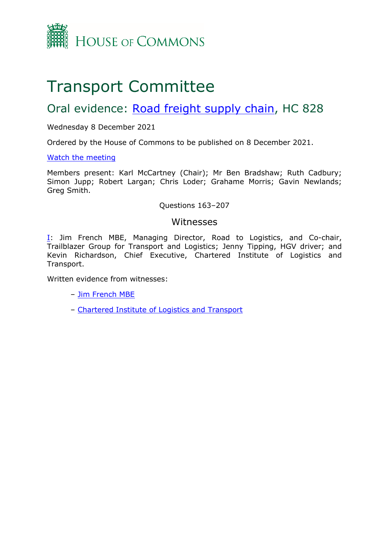

# Transport Committee

## Oral evidence: [Road](https://committees.parliament.uk/work/1587/road-freight-supply-chain/) [freight](https://committees.parliament.uk/work/1587/road-freight-supply-chain/) [supply](https://committees.parliament.uk/work/1587/road-freight-supply-chain/) [chain](https://committees.parliament.uk/work/1587/road-freight-supply-chain/), HC 828

## Wednesday 8 December 2021

Ordered by the House of Commons to be published on 8 December 2021.

## [Watch](https://parliamentlive.tv/Event/Index/52bba869-1224-4df6-afd9-49cccff4bf32) [the](https://parliamentlive.tv/Event/Index/52bba869-1224-4df6-afd9-49cccff4bf32) [meeting](https://parliamentlive.tv/Event/Index/52bba869-1224-4df6-afd9-49cccff4bf32)

Members present: Karl McCartney (Chair); Mr Ben Bradshaw; Ruth Cadbury; Simon Jupp; Robert Largan; Chris Loder; Grahame Morris; Gavin Newlands; Greg Smith.

## Questions 163–207

## Witnesses

[I:](#page-1-0) Jim French MBE, Managing Director, Road to Logistics, and Co-chair, Trailblazer Group for Transport and Logistics; Jenny Tipping, HGV driver; and Kevin Richardson, Chief Executive, Chartered Institute of Logistics and Transport.

Written evidence from witnesses:

- [Jim](https://committees.parliament.uk/writtenevidence/41025/pdf/) [French](https://committees.parliament.uk/writtenevidence/41025/pdf/) [MBE](https://committees.parliament.uk/writtenevidence/41025/pdf/)
- [Chartered](https://committees.parliament.uk/writtenevidence/41006/pdf/) [Institute](https://committees.parliament.uk/writtenevidence/41006/pdf/) [of](https://committees.parliament.uk/writtenevidence/41006/pdf/) [Logistics](https://committees.parliament.uk/writtenevidence/41006/pdf/) [and](https://committees.parliament.uk/writtenevidence/41006/pdf/) [Transport](https://committees.parliament.uk/writtenevidence/41006/pdf/)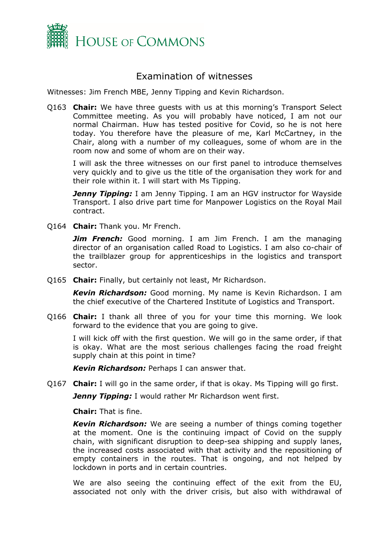

## <span id="page-1-0"></span>Examination of witnesses

Witnesses: Jim French MBE, Jenny Tipping and Kevin Richardson.

Q163 **Chair:** We have three guests with us at this morning's Transport Select Committee meeting. As you will probably have noticed, I am not our normal Chairman. Huw has tested positive for Covid, so he is not here today. You therefore have the pleasure of me, Karl McCartney, in the Chair, along with a number of my colleagues, some of whom are in the room now and some of whom are on their way.

I will ask the three witnesses on our first panel to introduce themselves very quickly and to give us the title of the organisation they work for and their role within it. I will start with Ms Tipping.

*Jenny Tipping:* I am Jenny Tipping. I am an HGV instructor for Wayside Transport. I also drive part time for Manpower Logistics on the Royal Mail contract.

Q164 **Chair:** Thank you. Mr French.

*Jim French:* Good morning. I am Jim French. I am the managing director of an organisation called Road to Logistics. I am also co-chair of the trailblazer group for apprenticeships in the logistics and transport sector.

Q165 **Chair:** Finally, but certainly not least, Mr Richardson.

*Kevin Richardson:* Good morning. My name is Kevin Richardson. I am the chief executive of the Chartered Institute of Logistics and Transport.

Q166 **Chair:** I thank all three of you for your time this morning. We look forward to the evidence that you are going to give.

I will kick off with the first question. We will go in the same order, if that is okay. What are the most serious challenges facing the road freight supply chain at this point in time?

*Kevin Richardson:* Perhaps I can answer that.

Q167 **Chair:** I will go in the same order, if that is okay. Ms Tipping will go first.

*Jenny Tipping:* I would rather Mr Richardson went first.

**Chair:** That is fine.

*Kevin Richardson:* We are seeing a number of things coming together at the moment. One is the continuing impact of Covid on the supply chain, with significant disruption to deep-sea shipping and supply lanes, the increased costs associated with that activity and the repositioning of empty containers in the routes. That is ongoing, and not helped by lockdown in ports and in certain countries.

We are also seeing the continuing effect of the exit from the EU, associated not only with the driver crisis, but also with withdrawal of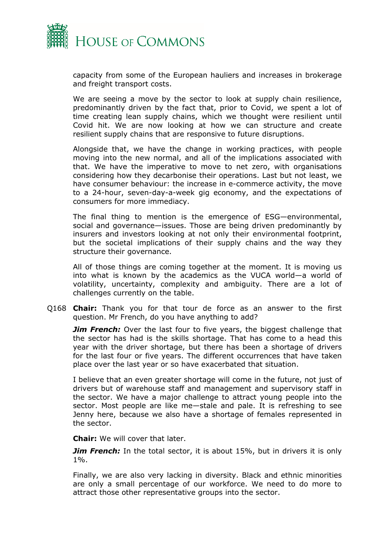

capacity from some of the European hauliers and increases in brokerage and freight transport costs.

We are seeing a move by the sector to look at supply chain resilience, predominantly driven by the fact that, prior to Covid, we spent a lot of time creating lean supply chains, which we thought were resilient until Covid hit. We are now looking at how we can structure and create resilient supply chains that are responsive to future disruptions.

Alongside that, we have the change in working practices, with people moving into the new normal, and all of the implications associated with that. We have the imperative to move to net zero, with organisations considering how they decarbonise their operations. Last but not least, we have consumer behaviour: the increase in e-commerce activity, the move to a 24-hour, seven-day-a-week gig economy, and the expectations of consumers for more immediacy.

The final thing to mention is the emergence of ESG—environmental, social and governance—issues. Those are being driven predominantly by insurers and investors looking at not only their environmental footprint, but the societal implications of their supply chains and the way they structure their governance.

All of those things are coming together at the moment. It is moving us into what is known by the academics as the VUCA world—a world of volatility, uncertainty, complexity and ambiguity. There are a lot of challenges currently on the table.

Q168 **Chair:** Thank you for that tour de force as an answer to the first question. Mr French, do you have anything to add?

*Jim French:* Over the last four to five years, the biggest challenge that the sector has had is the skills shortage. That has come to a head this year with the driver shortage, but there has been a shortage of drivers for the last four or five years. The different occurrences that have taken place over the last year or so have exacerbated that situation.

I believe that an even greater shortage will come in the future, not just of drivers but of warehouse staff and management and supervisory staff in the sector. We have a major challenge to attract young people into the sector. Most people are like me—stale and pale. It is refreshing to see Jenny here, because we also have a shortage of females represented in the sector.

**Chair:** We will cover that later.

*Jim French:* In the total sector, it is about 15%, but in drivers it is only 1%.

Finally, we are also very lacking in diversity. Black and ethnic minorities are only a small percentage of our workforce. We need to do more to attract those other representative groups into the sector.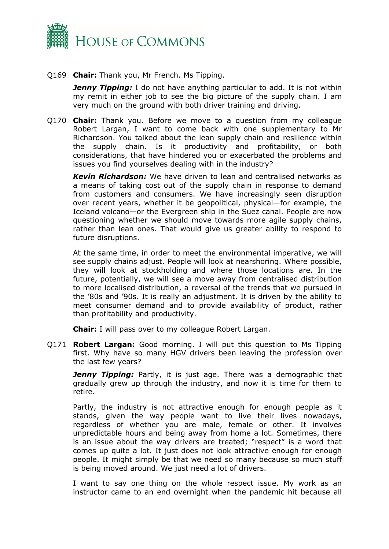

Q169 **Chair:** Thank you, Mr French. Ms Tipping.

*Jenny Tipping:* I do not have anything particular to add. It is not within my remit in either job to see the big picture of the supply chain. I am very much on the ground with both driver training and driving.

Q170 **Chair:** Thank you. Before we move to a question from my colleague Robert Largan, I want to come back with one supplementary to Mr Richardson. You talked about the lean supply chain and resilience within the supply chain. Is it productivity and profitability, or both considerations, that have hindered you or exacerbated the problems and issues you find yourselves dealing with in the industry?

*Kevin Richardson:* We have driven to lean and centralised networks as a means of taking cost out of the supply chain in response to demand from customers and consumers. We have increasingly seen disruption over recent years, whether it be geopolitical, physical—for example, the Iceland volcano—or the Evergreen ship in the Suez canal. People are now questioning whether we should move towards more agile supply chains, rather than lean ones. That would give us greater ability to respond to future disruptions.

At the same time, in order to meet the environmental imperative, we will see supply chains adjust. People will look at nearshoring. Where possible, they will look at stockholding and where those locations are. In the future, potentially, we will see a move away from centralised distribution to more localised distribution, a reversal of the trends that we pursued in the '80s and '90s. It is really an adjustment. It is driven by the ability to meet consumer demand and to provide availability of product, rather than profitability and productivity.

**Chair:** I will pass over to my colleague Robert Largan.

Q171 **Robert Largan:** Good morning. I will put this question to Ms Tipping first. Why have so many HGV drivers been leaving the profession over the last few years?

*Jenny Tipping:* Partly, it is just age. There was a demographic that gradually grew up through the industry, and now it is time for them to retire.

Partly, the industry is not attractive enough for enough people as it stands, given the way people want to live their lives nowadays, regardless of whether you are male, female or other. It involves unpredictable hours and being away from home a lot. Sometimes, there is an issue about the way drivers are treated; "respect" is a word that comes up quite a lot. It just does not look attractive enough for enough people. It might simply be that we need so many because so much stuff is being moved around. We just need a lot of drivers.

I want to say one thing on the whole respect issue. My work as an instructor came to an end overnight when the pandemic hit because all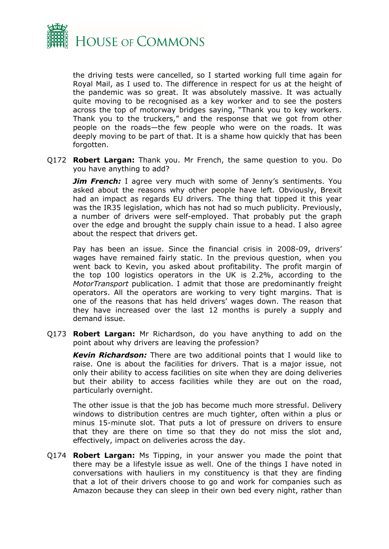

the driving tests were cancelled, so I started working full time again for Royal Mail, as I used to. The difference in respect for us at the height of the pandemic was so great. It was absolutely massive. It was actually quite moving to be recognised as a key worker and to see the posters across the top of motorway bridges saying, "Thank you to key workers. Thank you to the truckers," and the response that we got from other people on the roads—the few people who were on the roads. It was deeply moving to be part of that. It is a shame how quickly that has been forgotten.

Q172 **Robert Largan:** Thank you. Mr French, the same question to you. Do you have anything to add?

**Jim French:** I agree very much with some of Jenny's sentiments. You asked about the reasons why other people have left. Obviously, Brexit had an impact as regards EU drivers. The thing that tipped it this year was the IR35 legislation, which has not had so much publicity. Previously, a number of drivers were self-employed. That probably put the graph over the edge and brought the supply chain issue to a head. I also agree about the respect that drivers get.

Pay has been an issue. Since the financial crisis in 2008-09, drivers' wages have remained fairly static. In the previous question, when you went back to Kevin, you asked about profitability. The profit margin of the top 100 logistics operators in the UK is 2.2%, according to the *MotorTransport* publication. I admit that those are predominantly freight operators. All the operators are working to very tight margins. That is one of the reasons that has held drivers' wages down. The reason that they have increased over the last 12 months is purely a supply and demand issue.

Q173 **Robert Largan:** Mr Richardson, do you have anything to add on the point about why drivers are leaving the profession?

*Kevin Richardson:* There are two additional points that I would like to raise. One is about the facilities for drivers. That is a major issue, not only their ability to access facilities on site when they are doing deliveries but their ability to access facilities while they are out on the road, particularly overnight.

The other issue is that the job has become much more stressful. Delivery windows to distribution centres are much tighter, often within a plus or minus 15-minute slot. That puts a lot of pressure on drivers to ensure that they are there on time so that they do not miss the slot and, effectively, impact on deliveries across the day.

Q174 **Robert Largan:** Ms Tipping, in your answer you made the point that there may be a lifestyle issue as well. One of the things I have noted in conversations with hauliers in my constituency is that they are finding that a lot of their drivers choose to go and work for companies such as Amazon because they can sleep in their own bed every night, rather than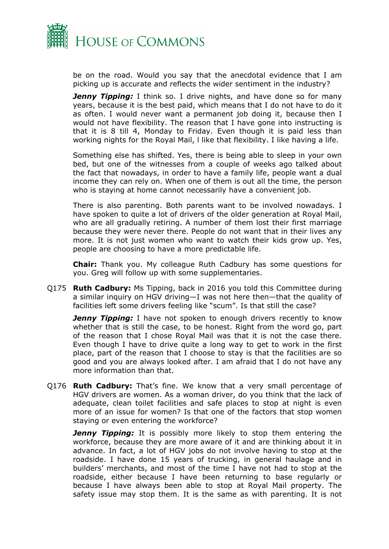

be on the road. Would you say that the anecdotal evidence that I am picking up is accurate and reflects the wider sentiment in the industry?

*Jenny Tipping:* I think so. I drive nights, and have done so for many years, because it is the best paid, which means that I do not have to do it as often. I would never want a permanent job doing it, because then I would not have flexibility. The reason that I have gone into instructing is that it is 8 till 4, Monday to Friday. Even though it is paid less than working nights for the Royal Mail, l like that flexibility. I like having a life.

Something else has shifted. Yes, there is being able to sleep in your own bed, but one of the witnesses from a couple of weeks ago talked about the fact that nowadays, in order to have a family life, people want a dual income they can rely on. When one of them is out all the time, the person who is staying at home cannot necessarily have a convenient job.

There is also parenting. Both parents want to be involved nowadays. I have spoken to quite a lot of drivers of the older generation at Royal Mail, who are all gradually retiring. A number of them lost their first marriage because they were never there. People do not want that in their lives any more. It is not just women who want to watch their kids grow up. Yes, people are choosing to have a more predictable life.

**Chair:** Thank you. My colleague Ruth Cadbury has some questions for you. Greg will follow up with some supplementaries.

Q175 **Ruth Cadbury:** Ms Tipping, back in 2016 you told this Committee during a similar inquiry on HGV driving—I was not here then—that the quality of facilities left some drivers feeling like "scum". Is that still the case?

*Jenny Tipping:* I have not spoken to enough drivers recently to know whether that is still the case, to be honest. Right from the word go, part of the reason that I chose Royal Mail was that it is not the case there. Even though I have to drive quite a long way to get to work in the first place, part of the reason that I choose to stay is that the facilities are so good and you are always looked after. I am afraid that I do not have any more information than that.

Q176 **Ruth Cadbury:** That's fine. We know that a very small percentage of HGV drivers are women. As a woman driver, do you think that the lack of adequate, clean toilet facilities and safe places to stop at night is even more of an issue for women? Is that one of the factors that stop women staying or even entering the workforce?

*Jenny Tipping:* It is possibly more likely to stop them entering the workforce, because they are more aware of it and are thinking about it in advance. In fact, a lot of HGV jobs do not involve having to stop at the roadside. I have done 15 years of trucking, in general haulage and in builders' merchants, and most of the time I have not had to stop at the roadside, either because I have been returning to base regularly or because I have always been able to stop at Royal Mail property. The safety issue may stop them. It is the same as with parenting. It is not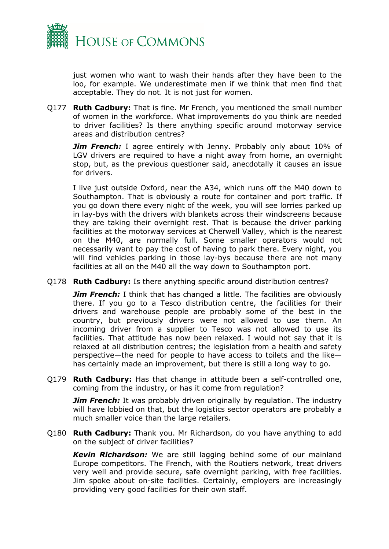

just women who want to wash their hands after they have been to the loo, for example. We underestimate men if we think that men find that acceptable. They do not. It is not just for women.

Q177 **Ruth Cadbury:** That is fine. Mr French, you mentioned the small number of women in the workforce. What improvements do you think are needed to driver facilities? Is there anything specific around motorway service areas and distribution centres?

*Jim French:* I agree entirely with Jenny. Probably only about 10% of LGV drivers are required to have a night away from home, an overnight stop, but, as the previous questioner said, anecdotally it causes an issue for drivers.

I live just outside Oxford, near the A34, which runs off the M40 down to Southampton. That is obviously a route for container and port traffic. If you go down there every night of the week, you will see lorries parked up in lay-bys with the drivers with blankets across their windscreens because they are taking their overnight rest. That is because the driver parking facilities at the motorway services at Cherwell Valley, which is the nearest on the M40, are normally full. Some smaller operators would not necessarily want to pay the cost of having to park there. Every night, you will find vehicles parking in those lay-bys because there are not many facilities at all on the M40 all the way down to Southampton port.

Q178 **Ruth Cadbury:** Is there anything specific around distribution centres?

*Jim French:* I think that has changed a little. The facilities are obviously there. If you go to a Tesco distribution centre, the facilities for their drivers and warehouse people are probably some of the best in the country, but previously drivers were not allowed to use them. An incoming driver from a supplier to Tesco was not allowed to use its facilities. That attitude has now been relaxed. I would not say that it is relaxed at all distribution centres; the legislation from a health and safety perspective—the need for people to have access to toilets and the like has certainly made an improvement, but there is still a long way to go.

Q179 **Ruth Cadbury:** Has that change in attitude been a self-controlled one, coming from the industry, or has it come from regulation?

*Jim French:* It was probably driven originally by regulation. The industry will have lobbied on that, but the logistics sector operators are probably a much smaller voice than the large retailers.

Q180 **Ruth Cadbury:** Thank you. Mr Richardson, do you have anything to add on the subject of driver facilities?

*Kevin Richardson:* We are still lagging behind some of our mainland Europe competitors. The French, with the Routiers network, treat drivers very well and provide secure, safe overnight parking, with free facilities. Jim spoke about on-site facilities. Certainly, employers are increasingly providing very good facilities for their own staff.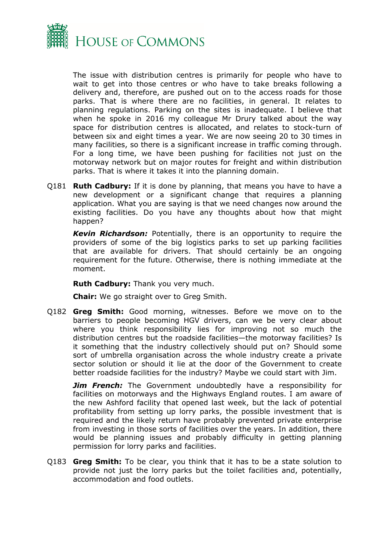

The issue with distribution centres is primarily for people who have to wait to get into those centres or who have to take breaks following a delivery and, therefore, are pushed out on to the access roads for those parks. That is where there are no facilities, in general. It relates to planning regulations. Parking on the sites is inadequate. I believe that when he spoke in 2016 my colleague Mr Drury talked about the way space for distribution centres is allocated, and relates to stock-turn of between six and eight times a year. We are now seeing 20 to 30 times in many facilities, so there is a significant increase in traffic coming through. For a long time, we have been pushing for facilities not just on the motorway network but on major routes for freight and within distribution parks. That is where it takes it into the planning domain.

Q181 **Ruth Cadbury:** If it is done by planning, that means you have to have a new development or a significant change that requires a planning application. What you are saying is that we need changes now around the existing facilities. Do you have any thoughts about how that might happen?

*Kevin Richardson:* Potentially, there is an opportunity to require the providers of some of the big logistics parks to set up parking facilities that are available for drivers. That should certainly be an ongoing requirement for the future. Otherwise, there is nothing immediate at the moment.

**Ruth Cadbury:** Thank you very much.

**Chair:** We go straight over to Greg Smith.

Q182 **Greg Smith:** Good morning, witnesses. Before we move on to the barriers to people becoming HGV drivers, can we be very clear about where you think responsibility lies for improving not so much the distribution centres but the roadside facilities—the motorway facilities? Is it something that the industry collectively should put on? Should some sort of umbrella organisation across the whole industry create a private sector solution or should it lie at the door of the Government to create better roadside facilities for the industry? Maybe we could start with Jim.

*Jim French:* The Government undoubtedly have a responsibility for facilities on motorways and the Highways England routes. I am aware of the new Ashford facility that opened last week, but the lack of potential profitability from setting up lorry parks, the possible investment that is required and the likely return have probably prevented private enterprise from investing in those sorts of facilities over the years. In addition, there would be planning issues and probably difficulty in getting planning permission for lorry parks and facilities.

Q183 **Greg Smith:** To be clear, you think that it has to be a state solution to provide not just the lorry parks but the toilet facilities and, potentially, accommodation and food outlets.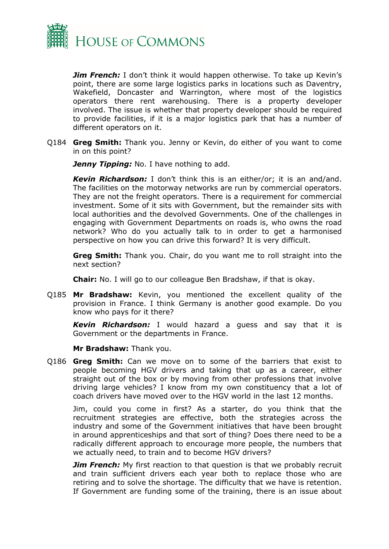

*Jim French:* I don't think it would happen otherwise. To take up Kevin's point, there are some large logistics parks in locations such as Daventry, Wakefield, Doncaster and Warrington, where most of the logistics operators there rent warehousing. There is a property developer involved. The issue is whether that property developer should be required to provide facilities, if it is a major logistics park that has a number of different operators on it.

Q184 **Greg Smith:** Thank you. Jenny or Kevin, do either of you want to come in on this point?

*Jenny Tipping:* No. I have nothing to add.

*Kevin Richardson:* I don't think this is an either/or; it is an and/and. The facilities on the motorway networks are run by commercial operators. They are not the freight operators. There is a requirement for commercial investment. Some of it sits with Government, but the remainder sits with local authorities and the devolved Governments. One of the challenges in engaging with Government Departments on roads is, who owns the road network? Who do you actually talk to in order to get a harmonised perspective on how you can drive this forward? It is very difficult.

**Greg Smith:** Thank you. Chair, do you want me to roll straight into the next section?

**Chair:** No. I will go to our colleague Ben Bradshaw, if that is okay.

Q185 **Mr Bradshaw:** Kevin, you mentioned the excellent quality of the provision in France. I think Germany is another good example. Do you know who pays for it there?

*Kevin Richardson:* I would hazard a guess and say that it is Government or the departments in France.

**Mr Bradshaw:** Thank you.

Q186 **Greg Smith:** Can we move on to some of the barriers that exist to people becoming HGV drivers and taking that up as a career, either straight out of the box or by moving from other professions that involve driving large vehicles? I know from my own constituency that a lot of coach drivers have moved over to the HGV world in the last 12 months.

Jim, could you come in first? As a starter, do you think that the recruitment strategies are effective, both the strategies across the industry and some of the Government initiatives that have been brought in around apprenticeships and that sort of thing? Does there need to be a radically different approach to encourage more people, the numbers that we actually need, to train and to become HGV drivers?

*Jim French:* My first reaction to that question is that we probably recruit and train sufficient drivers each year both to replace those who are retiring and to solve the shortage. The difficulty that we have is retention. If Government are funding some of the training, there is an issue about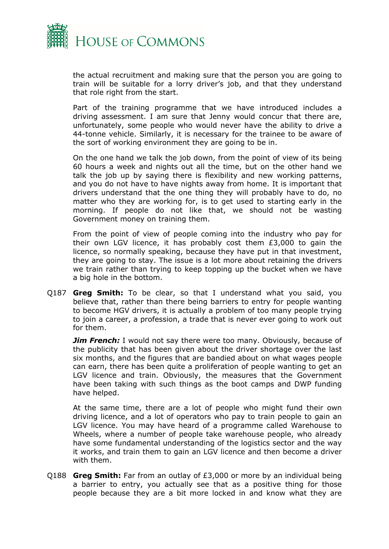

the actual recruitment and making sure that the person you are going to train will be suitable for a lorry driver's job, and that they understand that role right from the start.

Part of the training programme that we have introduced includes a driving assessment. I am sure that Jenny would concur that there are, unfortunately, some people who would never have the ability to drive a 44-tonne vehicle. Similarly, it is necessary for the trainee to be aware of the sort of working environment they are going to be in.

On the one hand we talk the job down, from the point of view of its being 60 hours a week and nights out all the time, but on the other hand we talk the job up by saying there is flexibility and new working patterns, and you do not have to have nights away from home. It is important that drivers understand that the one thing they will probably have to do, no matter who they are working for, is to get used to starting early in the morning. If people do not like that, we should not be wasting Government money on training them.

From the point of view of people coming into the industry who pay for their own LGV licence, it has probably cost them £3,000 to gain the licence, so normally speaking, because they have put in that investment, they are going to stay. The issue is a lot more about retaining the drivers we train rather than trying to keep topping up the bucket when we have a big hole in the bottom.

Q187 **Greg Smith:** To be clear, so that I understand what you said, you believe that, rather than there being barriers to entry for people wanting to become HGV drivers, it is actually a problem of too many people trying to join a career, a profession, a trade that is never ever going to work out for them.

*Jim French:* I would not say there were too many. Obviously, because of the publicity that has been given about the driver shortage over the last six months, and the figures that are bandied about on what wages people can earn, there has been quite a proliferation of people wanting to get an LGV licence and train. Obviously, the measures that the Government have been taking with such things as the boot camps and DWP funding have helped.

At the same time, there are a lot of people who might fund their own driving licence, and a lot of operators who pay to train people to gain an LGV licence. You may have heard of a programme called Warehouse to Wheels, where a number of people take warehouse people, who already have some fundamental understanding of the logistics sector and the way it works, and train them to gain an LGV licence and then become a driver with them.

Q188 **Greg Smith:** Far from an outlay of £3,000 or more by an individual being a barrier to entry, you actually see that as a positive thing for those people because they are a bit more locked in and know what they are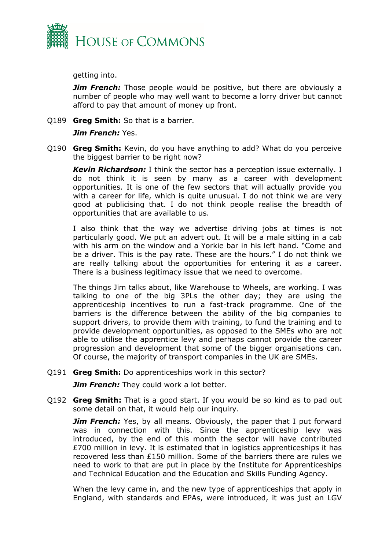

getting into.

*Jim French:* Those people would be positive, but there are obviously a number of people who may well want to become a lorry driver but cannot afford to pay that amount of money up front.

Q189 **Greg Smith:** So that is a barrier.

## *Jim French:* Yes.

Q190 **Greg Smith:** Kevin, do you have anything to add? What do you perceive the biggest barrier to be right now?

*Kevin Richardson:* I think the sector has a perception issue externally. I do not think it is seen by many as a career with development opportunities. It is one of the few sectors that will actually provide you with a career for life, which is quite unusual. I do not think we are very good at publicising that. I do not think people realise the breadth of opportunities that are available to us.

I also think that the way we advertise driving jobs at times is not particularly good. We put an advert out. It will be a male sitting in a cab with his arm on the window and a Yorkie bar in his left hand. "Come and be a driver. This is the pay rate. These are the hours." I do not think we are really talking about the opportunities for entering it as a career. There is a business legitimacy issue that we need to overcome.

The things Jim talks about, like Warehouse to Wheels, are working. I was talking to one of the big 3PLs the other day; they are using the apprenticeship incentives to run a fast-track programme. One of the barriers is the difference between the ability of the big companies to support drivers, to provide them with training, to fund the training and to provide development opportunities, as opposed to the SMEs who are not able to utilise the apprentice levy and perhaps cannot provide the career progression and development that some of the bigger organisations can. Of course, the majority of transport companies in the UK are SMEs.

## Q191 **Greg Smith:** Do apprenticeships work in this sector?

*Jim French:* They could work a lot better.

Q192 **Greg Smith:** That is a good start. If you would be so kind as to pad out some detail on that, it would help our inquiry.

*Jim French:* Yes, by all means. Obviously, the paper that I put forward was in connection with this. Since the apprenticeship levy was introduced, by the end of this month the sector will have contributed £700 million in levy. It is estimated that in logistics apprenticeships it has recovered less than £150 million. Some of the barriers there are rules we need to work to that are put in place by the Institute for Apprenticeships and Technical Education and the Education and Skills Funding Agency.

When the levy came in, and the new type of apprenticeships that apply in England, with standards and EPAs, were introduced, it was just an LGV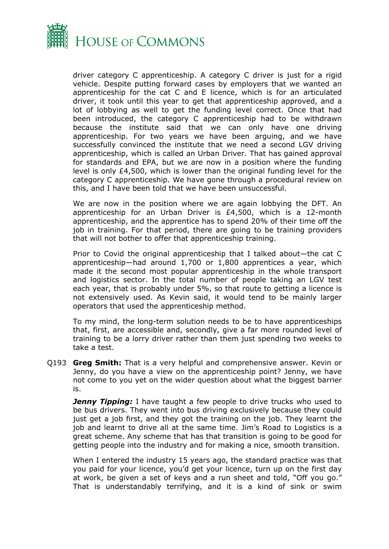

driver category C apprenticeship. A category C driver is just for a rigid vehicle. Despite putting forward cases by employers that we wanted an apprenticeship for the cat C and E licence, which is for an articulated driver, it took until this year to get that apprenticeship approved, and a lot of lobbying as well to get the funding level correct. Once that had been introduced, the category C apprenticeship had to be withdrawn because the institute said that we can only have one driving apprenticeship. For two years we have been arguing, and we have successfully convinced the institute that we need a second LGV driving apprenticeship, which is called an Urban Driver. That has gained approval for standards and EPA, but we are now in a position where the funding level is only £4,500, which is lower than the original funding level for the category C apprenticeship. We have gone through a procedural review on this, and I have been told that we have been unsuccessful.

We are now in the position where we are again lobbying the DFT. An apprenticeship for an Urban Driver is £4,500, which is a 12-month apprenticeship, and the apprentice has to spend 20% of their time off the job in training. For that period, there are going to be training providers that will not bother to offer that apprenticeship training.

Prior to Covid the original apprenticeship that I talked about—the cat C apprenticeship—had around 1,700 or 1,800 apprentices a year, which made it the second most popular apprenticeship in the whole transport and logistics sector. In the total number of people taking an LGV test each year, that is probably under 5%, so that route to getting a licence is not extensively used. As Kevin said, it would tend to be mainly larger operators that used the apprenticeship method.

To my mind, the long-term solution needs to be to have apprenticeships that, first, are accessible and, secondly, give a far more rounded level of training to be a lorry driver rather than them just spending two weeks to take a test.

Q193 **Greg Smith:** That is a very helpful and comprehensive answer. Kevin or Jenny, do you have a view on the apprenticeship point? Jenny, we have not come to you yet on the wider question about what the biggest barrier is.

**Jenny Tipping:** I have taught a few people to drive trucks who used to be bus drivers. They went into bus driving exclusively because they could just get a job first, and they got the training on the job. They learnt the job and learnt to drive all at the same time. Jim's Road to Logistics is a great scheme. Any scheme that has that transition is going to be good for getting people into the industry and for making a nice, smooth transition.

When I entered the industry 15 years ago, the standard practice was that you paid for your licence, you'd get your licence, turn up on the first day at work, be given a set of keys and a run sheet and told, "Off you go." That is understandably terrifying, and it is a kind of sink or swim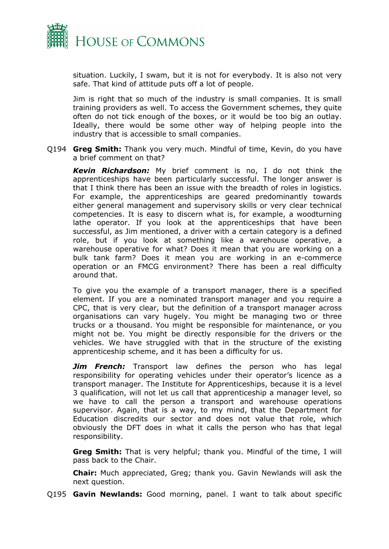

situation. Luckily, I swam, but it is not for everybody. It is also not very safe. That kind of attitude puts off a lot of people.

Jim is right that so much of the industry is small companies. It is small training providers as well. To access the Government schemes, they quite often do not tick enough of the boxes, or it would be too big an outlay. Ideally, there would be some other way of helping people into the industry that is accessible to small companies.

Q194 **Greg Smith:** Thank you very much. Mindful of time, Kevin, do you have a brief comment on that?

*Kevin Richardson:* My brief comment is no, I do not think the apprenticeships have been particularly successful. The longer answer is that I think there has been an issue with the breadth of roles in logistics. For example, the apprenticeships are geared predominantly towards either general management and supervisory skills or very clear technical competencies. It is easy to discern what is, for example, a woodturning lathe operator. If you look at the apprenticeships that have been successful, as Jim mentioned, a driver with a certain category is a defined role, but if you look at something like a warehouse operative, a warehouse operative for what? Does it mean that you are working on a bulk tank farm? Does it mean you are working in an e-commerce operation or an FMCG environment? There has been a real difficulty around that.

To give you the example of a transport manager, there is a specified element. If you are a nominated transport manager and you require a CPC, that is very clear, but the definition of a transport manager across organisations can vary hugely. You might be managing two or three trucks or a thousand. You might be responsible for maintenance, or you might not be. You might be directly responsible for the drivers or the vehicles. We have struggled with that in the structure of the existing apprenticeship scheme, and it has been a difficulty for us.

*Jim French:* Transport law defines the person who has legal responsibility for operating vehicles under their operator's licence as a transport manager. The Institute for Apprenticeships, because it is a level 3 qualification, will not let us call that apprenticeship a manager level, so we have to call the person a transport and warehouse operations supervisor. Again, that is a way, to my mind, that the Department for Education discredits our sector and does not value that role, which obviously the DFT does in what it calls the person who has that legal responsibility.

**Greg Smith:** That is very helpful; thank you. Mindful of the time, I will pass back to the Chair.

**Chair:** Much appreciated, Greg; thank you. Gavin Newlands will ask the next question.

Q195 **Gavin Newlands:** Good morning, panel. I want to talk about specific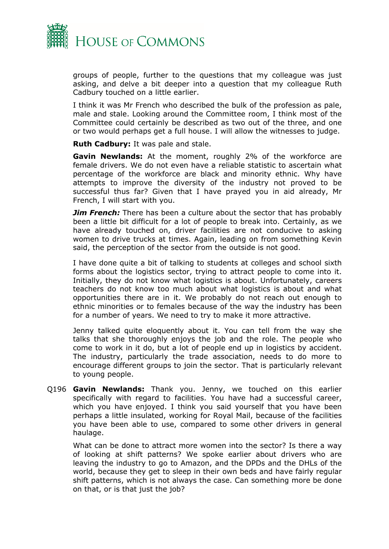

groups of people, further to the questions that my colleague was just asking, and delve a bit deeper into a question that my colleague Ruth Cadbury touched on a little earlier.

I think it was Mr French who described the bulk of the profession as pale, male and stale. Looking around the Committee room, I think most of the Committee could certainly be described as two out of the three, and one or two would perhaps get a full house. I will allow the witnesses to judge.

**Ruth Cadbury:** It was pale and stale.

**Gavin Newlands:** At the moment, roughly 2% of the workforce are female drivers. We do not even have a reliable statistic to ascertain what percentage of the workforce are black and minority ethnic. Why have attempts to improve the diversity of the industry not proved to be successful thus far? Given that I have prayed you in aid already, Mr French, I will start with you.

*Jim French:* There has been a culture about the sector that has probably been a little bit difficult for a lot of people to break into. Certainly, as we have already touched on, driver facilities are not conducive to asking women to drive trucks at times. Again, leading on from something Kevin said, the perception of the sector from the outside is not good.

I have done quite a bit of talking to students at colleges and school sixth forms about the logistics sector, trying to attract people to come into it. Initially, they do not know what logistics is about. Unfortunately, careers teachers do not know too much about what logistics is about and what opportunities there are in it. We probably do not reach out enough to ethnic minorities or to females because of the way the industry has been for a number of years. We need to try to make it more attractive.

Jenny talked quite eloquently about it. You can tell from the way she talks that she thoroughly enjoys the job and the role. The people who come to work in it do, but a lot of people end up in logistics by accident. The industry, particularly the trade association, needs to do more to encourage different groups to join the sector. That is particularly relevant to young people.

Q196 **Gavin Newlands:** Thank you. Jenny, we touched on this earlier specifically with regard to facilities. You have had a successful career, which you have enjoyed. I think you said yourself that you have been perhaps a little insulated, working for Royal Mail, because of the facilities you have been able to use, compared to some other drivers in general haulage.

What can be done to attract more women into the sector? Is there a way of looking at shift patterns? We spoke earlier about drivers who are leaving the industry to go to Amazon, and the DPDs and the DHLs of the world, because they get to sleep in their own beds and have fairly regular shift patterns, which is not always the case. Can something more be done on that, or is that just the job?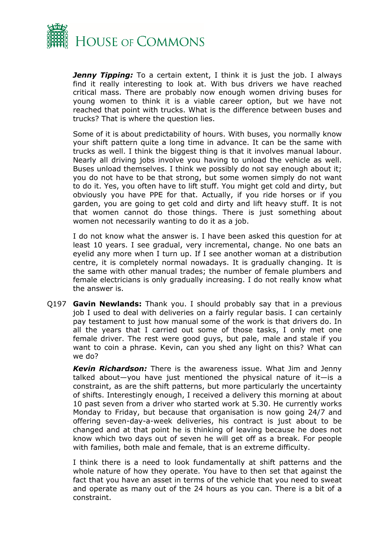

*Jenny Tipping:* To a certain extent, I think it is just the job. I always find it really interesting to look at. With bus drivers we have reached critical mass. There are probably now enough women driving buses for young women to think it is a viable career option, but we have not reached that point with trucks. What is the difference between buses and trucks? That is where the question lies.

Some of it is about predictability of hours. With buses, you normally know your shift pattern quite a long time in advance. It can be the same with trucks as well. I think the biggest thing is that it involves manual labour. Nearly all driving jobs involve you having to unload the vehicle as well. Buses unload themselves. I think we possibly do not say enough about it; you do not have to be that strong, but some women simply do not want to do it. Yes, you often have to lift stuff. You might get cold and dirty, but obviously you have PPE for that. Actually, if you ride horses or if you garden, you are going to get cold and dirty and lift heavy stuff. It is not that women cannot do those things. There is just something about women not necessarily wanting to do it as a job.

I do not know what the answer is. I have been asked this question for at least 10 years. I see gradual, very incremental, change. No one bats an eyelid any more when I turn up. If I see another woman at a distribution centre, it is completely normal nowadays. It is gradually changing. It is the same with other manual trades; the number of female plumbers and female electricians is only gradually increasing. I do not really know what the answer is.

Q197 **Gavin Newlands:** Thank you. I should probably say that in a previous job I used to deal with deliveries on a fairly regular basis. I can certainly pay testament to just how manual some of the work is that drivers do. In all the years that I carried out some of those tasks, I only met one female driver. The rest were good guys, but pale, male and stale if you want to coin a phrase. Kevin, can you shed any light on this? What can we do?

*Kevin Richardson:* There is the awareness issue. What Jim and Jenny talked about—you have just mentioned the physical nature of it—is a constraint, as are the shift patterns, but more particularly the uncertainty of shifts. Interestingly enough, I received a delivery this morning at about 10 past seven from a driver who started work at 5.30. He currently works Monday to Friday, but because that organisation is now going 24/7 and offering seven-day-a-week deliveries, his contract is just about to be changed and at that point he is thinking of leaving because he does not know which two days out of seven he will get off as a break. For people with families, both male and female, that is an extreme difficulty.

I think there is a need to look fundamentally at shift patterns and the whole nature of how they operate. You have to then set that against the fact that you have an asset in terms of the vehicle that you need to sweat and operate as many out of the 24 hours as you can. There is a bit of a constraint.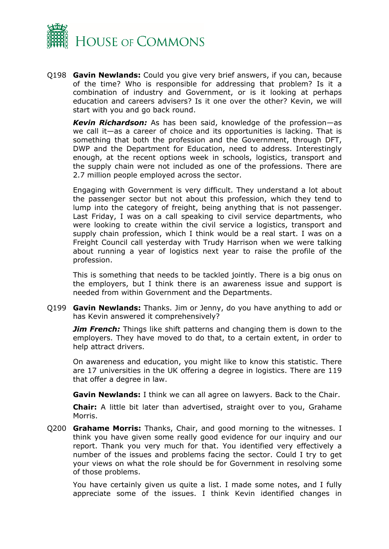

Q198 **Gavin Newlands:** Could you give very brief answers, if you can, because of the time? Who is responsible for addressing that problem? Is it a combination of industry and Government, or is it looking at perhaps education and careers advisers? Is it one over the other? Kevin, we will start with you and go back round.

*Kevin Richardson:* As has been said, knowledge of the profession—as we call it—as a career of choice and its opportunities is lacking. That is something that both the profession and the Government, through DFT, DWP and the Department for Education, need to address. Interestingly enough, at the recent options week in schools, logistics, transport and the supply chain were not included as one of the professions. There are 2.7 million people employed across the sector.

Engaging with Government is very difficult. They understand a lot about the passenger sector but not about this profession, which they tend to lump into the category of freight, being anything that is not passenger. Last Friday, I was on a call speaking to civil service departments, who were looking to create within the civil service a logistics, transport and supply chain profession, which I think would be a real start. I was on a Freight Council call yesterday with Trudy Harrison when we were talking about running a year of logistics next year to raise the profile of the profession.

This is something that needs to be tackled jointly. There is a big onus on the employers, but I think there is an awareness issue and support is needed from within Government and the Departments.

Q199 **Gavin Newlands:** Thanks. Jim or Jenny, do you have anything to add or has Kevin answered it comprehensively?

*Jim French:* Things like shift patterns and changing them is down to the employers. They have moved to do that, to a certain extent, in order to help attract drivers.

On awareness and education, you might like to know this statistic. There are 17 universities in the UK offering a degree in logistics. There are 119 that offer a degree in law.

**Gavin Newlands:** I think we can all agree on lawyers. Back to the Chair.

**Chair:** A little bit later than advertised, straight over to you, Grahame Morris.

Q200 **Grahame Morris:** Thanks, Chair, and good morning to the witnesses. I think you have given some really good evidence for our inquiry and our report. Thank you very much for that. You identified very effectively a number of the issues and problems facing the sector. Could I try to get your views on what the role should be for Government in resolving some of those problems.

You have certainly given us quite a list. I made some notes, and I fully appreciate some of the issues. I think Kevin identified changes in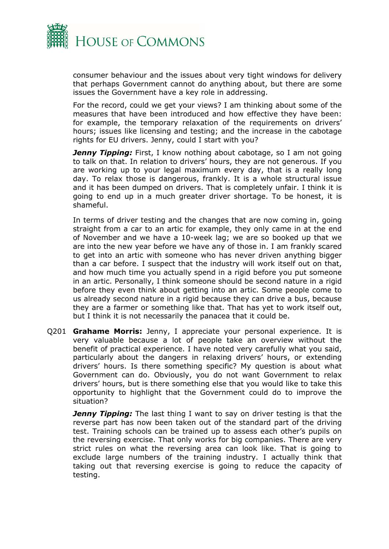

consumer behaviour and the issues about very tight windows for delivery that perhaps Government cannot do anything about, but there are some issues the Government have a key role in addressing.

For the record, could we get your views? I am thinking about some of the measures that have been introduced and how effective they have been: for example, the temporary relaxation of the requirements on drivers' hours; issues like licensing and testing; and the increase in the cabotage rights for EU drivers. Jenny, could I start with you?

**Jenny Tipping:** First, I know nothing about cabotage, so I am not going to talk on that. In relation to drivers' hours, they are not generous. If you are working up to your legal maximum every day, that is a really long day. To relax those is dangerous, frankly. It is a whole structural issue and it has been dumped on drivers. That is completely unfair. I think it is going to end up in a much greater driver shortage. To be honest, it is shameful.

In terms of driver testing and the changes that are now coming in, going straight from a car to an artic for example, they only came in at the end of November and we have a 10-week lag; we are so booked up that we are into the new year before we have any of those in. I am frankly scared to get into an artic with someone who has never driven anything bigger than a car before. I suspect that the industry will work itself out on that, and how much time you actually spend in a rigid before you put someone in an artic. Personally, I think someone should be second nature in a rigid before they even think about getting into an artic. Some people come to us already second nature in a rigid because they can drive a bus, because they are a farmer or something like that. That has yet to work itself out, but I think it is not necessarily the panacea that it could be.

Q201 **Grahame Morris:** Jenny, I appreciate your personal experience. It is very valuable because a lot of people take an overview without the benefit of practical experience. I have noted very carefully what you said, particularly about the dangers in relaxing drivers' hours, or extending drivers' hours. Is there something specific? My question is about what Government can do. Obviously, you do not want Government to relax drivers' hours, but is there something else that you would like to take this opportunity to highlight that the Government could do to improve the situation?

**Jenny Tipping:** The last thing I want to say on driver testing is that the reverse part has now been taken out of the standard part of the driving test. Training schools can be trained up to assess each other's pupils on the reversing exercise. That only works for big companies. There are very strict rules on what the reversing area can look like. That is going to exclude large numbers of the training industry. I actually think that taking out that reversing exercise is going to reduce the capacity of testing.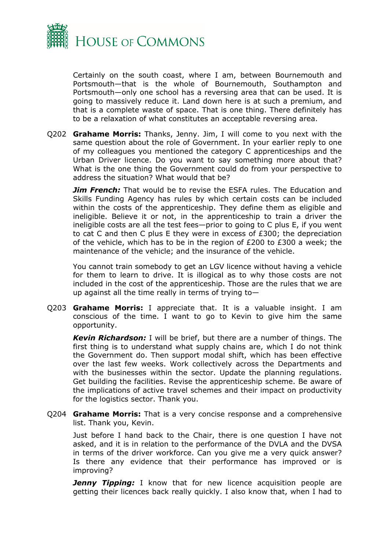

Certainly on the south coast, where I am, between Bournemouth and Portsmouth—that is the whole of Bournemouth, Southampton and Portsmouth—only one school has a reversing area that can be used. It is going to massively reduce it. Land down here is at such a premium, and that is a complete waste of space. That is one thing. There definitely has to be a relaxation of what constitutes an acceptable reversing area.

Q202 **Grahame Morris:** Thanks, Jenny. Jim, I will come to you next with the same question about the role of Government. In your earlier reply to one of my colleagues you mentioned the category C apprenticeships and the Urban Driver licence. Do you want to say something more about that? What is the one thing the Government could do from your perspective to address the situation? What would that be?

*Jim French:* That would be to revise the ESFA rules. The Education and Skills Funding Agency has rules by which certain costs can be included within the costs of the apprenticeship. They define them as eligible and ineligible. Believe it or not, in the apprenticeship to train a driver the ineligible costs are all the test fees—prior to going to C plus E, if you went to cat C and then C plus E they were in excess of £300; the depreciation of the vehicle, which has to be in the region of £200 to £300 a week; the maintenance of the vehicle; and the insurance of the vehicle.

You cannot train somebody to get an LGV licence without having a vehicle for them to learn to drive. It is illogical as to why those costs are not included in the cost of the apprenticeship. Those are the rules that we are up against all the time really in terms of trying to—

Q203 **Grahame Morris:** I appreciate that. It is a valuable insight. I am conscious of the time. I want to go to Kevin to give him the same opportunity.

*Kevin Richardson:* I will be brief, but there are a number of things. The first thing is to understand what supply chains are, which I do not think the Government do. Then support modal shift, which has been effective over the last few weeks. Work collectively across the Departments and with the businesses within the sector. Update the planning regulations. Get building the facilities. Revise the apprenticeship scheme. Be aware of the implications of active travel schemes and their impact on productivity for the logistics sector. Thank you.

Q204 **Grahame Morris:** That is a very concise response and a comprehensive list. Thank you, Kevin.

Just before I hand back to the Chair, there is one question I have not asked, and it is in relation to the performance of the DVLA and the DVSA in terms of the driver workforce. Can you give me a very quick answer? Is there any evidence that their performance has improved or is improving?

**Jenny Tipping:** I know that for new licence acquisition people are getting their licences back really quickly. I also know that, when I had to